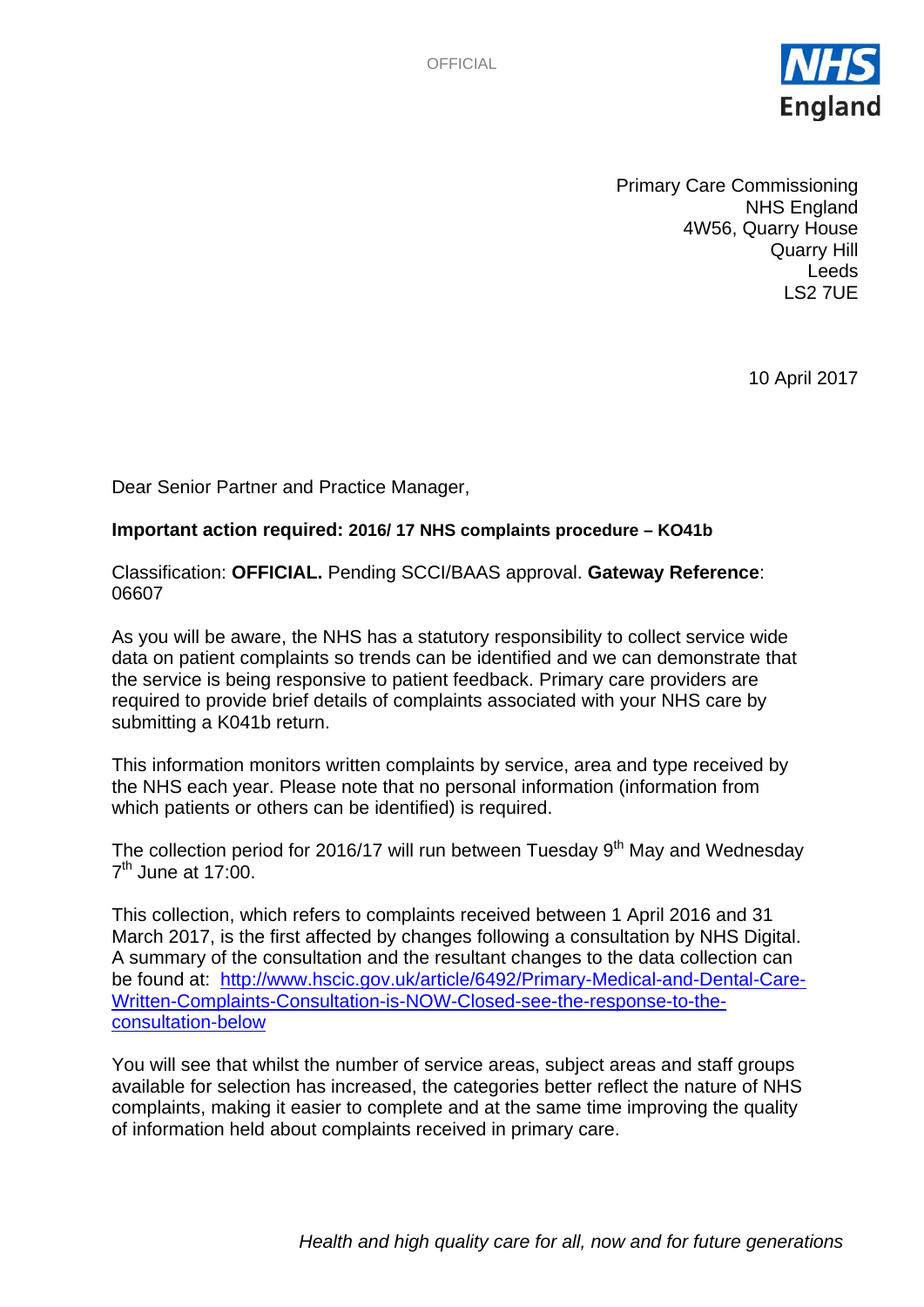

Primary Care Commissioning NHS England 4W56, Quarry House Quarry Hill Leeds LS2 7UE

10 April 2017

Dear Senior Partner and Practice Manager,

## **Important action required: 2016/ 17 NHS complaints procedure – KO41b**

Classification: **OFFICIAL.** Pending SCCI/BAAS approval. **Gateway Reference**: 06607

As you will be aware, the NHS has a statutory responsibility to collect service wide data on patient complaints so trends can be identified and we can demonstrate that the service is being responsive to patient feedback. Primary care providers are required to provide brief details of complaints associated with your NHS care by submitting a K041b return.

This information monitors written complaints by service, area and type received by the NHS each year. Please note that no personal information (information from which patients or others can be identified) is required.

The collection period for 2016/17 will run between Tuesday  $9<sup>th</sup>$  May and Wednesday  $7<sup>th</sup>$  June at 17:00.

This collection, which refers to complaints received between 1 April 2016 and 31 March 2017, is the first affected by changes following a consultation by NHS Digital. A summary of the consultation and the resultant changes to the data collection can be found at: [http://www.hscic.gov.uk/article/6492/Primary-Medical-and-Dental-Care-](http://www.hscic.gov.uk/article/6492/Primary-Medical-and-Dental-Care-Written-Complaints-Consultation-is-NOW-Closed-see-the-response-to-the-consultation-below)[Written-Complaints-Consultation-is-NOW-Closed-see-the-response-to-the](http://www.hscic.gov.uk/article/6492/Primary-Medical-and-Dental-Care-Written-Complaints-Consultation-is-NOW-Closed-see-the-response-to-the-consultation-below)[consultation-below](http://www.hscic.gov.uk/article/6492/Primary-Medical-and-Dental-Care-Written-Complaints-Consultation-is-NOW-Closed-see-the-response-to-the-consultation-below)

You will see that whilst the number of service areas, subject areas and staff groups available for selection has increased, the categories better reflect the nature of NHS complaints, making it easier to complete and at the same time improving the quality of information held about complaints received in primary care.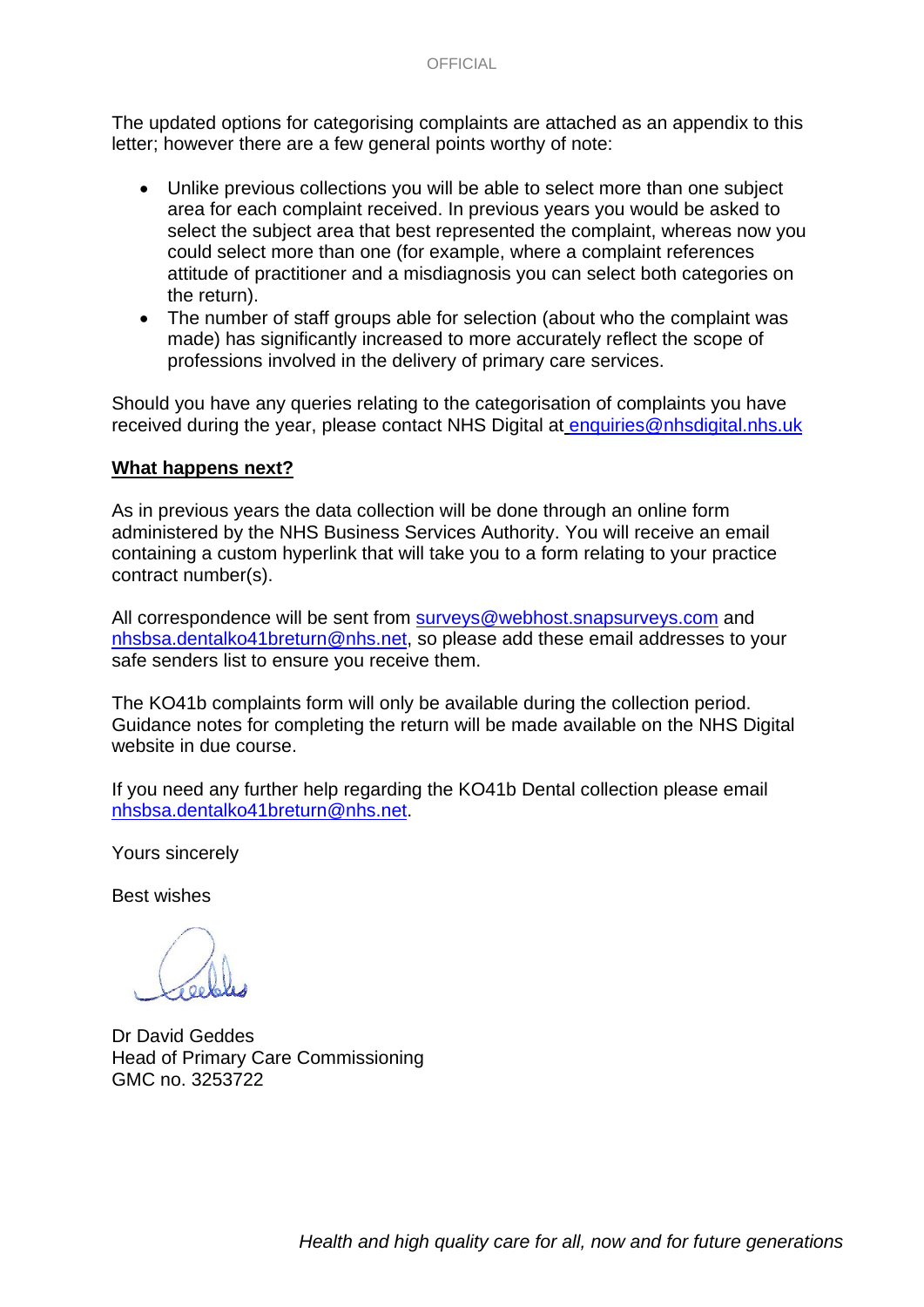The updated options for categorising complaints are attached as an appendix to this letter; however there are a few general points worthy of note:

- Unlike previous collections you will be able to select more than one subject area for each complaint received. In previous years you would be asked to select the subject area that best represented the complaint, whereas now you could select more than one (for example, where a complaint references attitude of practitioner and a misdiagnosis you can select both categories on the return).
- The number of staff groups able for selection (about who the complaint was made) has significantly increased to more accurately reflect the scope of professions involved in the delivery of primary care services.

Should you have any queries relating to the categorisation of complaints you have received during the year, please contact NHS Digital at [enquiries@nhsdigital.nhs.uk](mailto:enquiries@nhsdigital.nhs.uk)

## **What happens next?**

As in previous years the data collection will be done through an online form administered by the NHS Business Services Authority. You will receive an email containing a custom hyperlink that will take you to a form relating to your practice contract number(s).

All correspondence will be sent from [surveys@webhost.snapsurveys.com](mailto:surveys@webhost.snapsurveys.com) and [nhsbsa.dentalko41breturn@nhs.net,](mailto:nhsbsa.dentalko41breturn@nhs.net) so please add these email addresses to your safe senders list to ensure you receive them.

The KO41b complaints form will only be available during the collection period. Guidance notes for completing the return will be made available on the NHS Digital website in due course.

If you need any further help regarding the KO41b Dental collection please email [nhsbsa.dentalko41breturn@nhs.net.](mailto:nhsbsa.dentalko41breturn@nhs.net)

Yours sincerely

Best wishes

Dr David Geddes Head of Primary Care Commissioning GMC no. 3253722

*Health and high quality care for all, now and for future generations*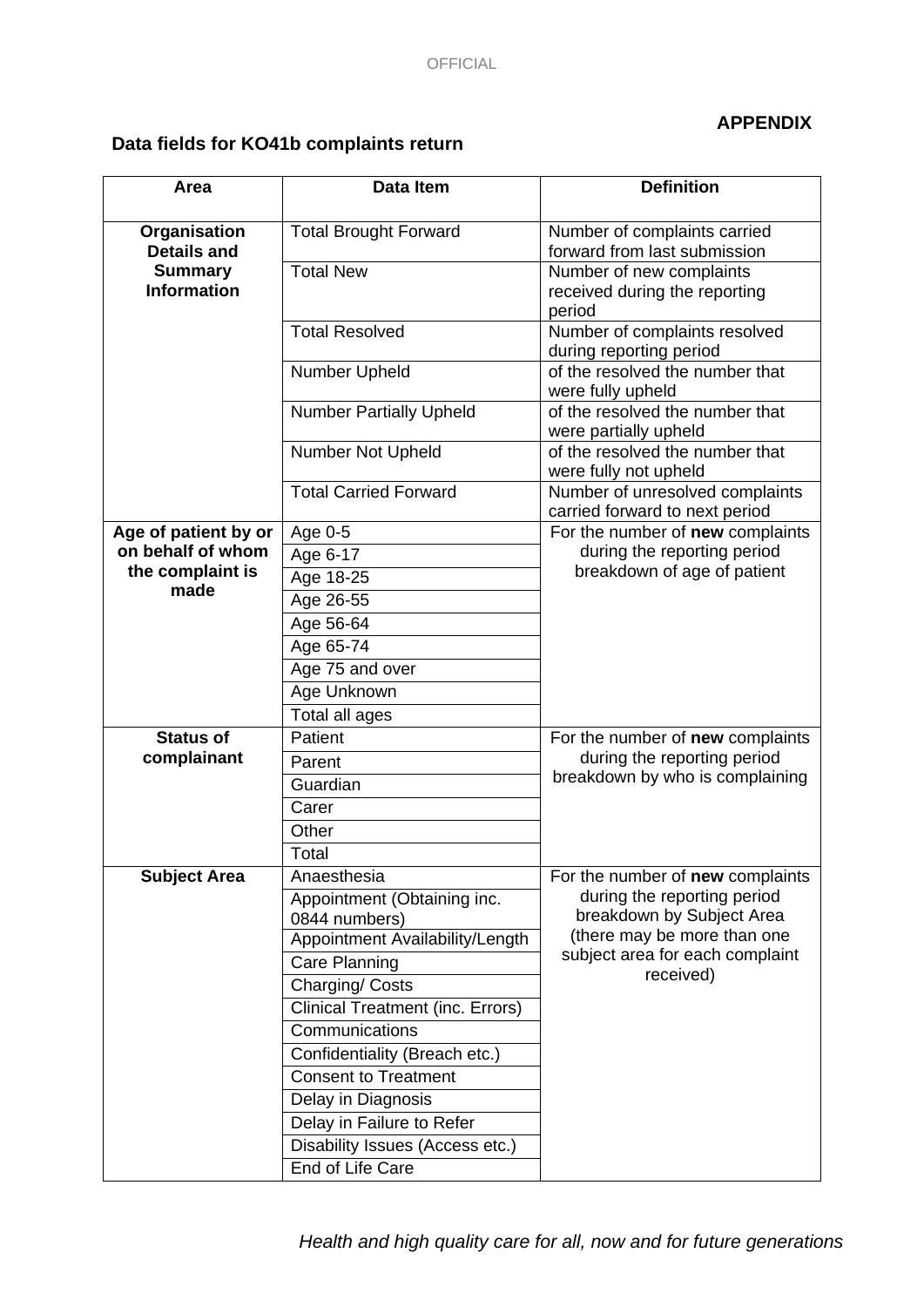## **APPENDIX**

## **Data fields for KO41b complaints return**

| Area                               | <b>Data Item</b>                                             | <b>Definition</b>                                            |
|------------------------------------|--------------------------------------------------------------|--------------------------------------------------------------|
|                                    |                                                              |                                                              |
| Organisation<br><b>Details and</b> | <b>Total Brought Forward</b>                                 | Number of complaints carried<br>forward from last submission |
| <b>Summary</b>                     | <b>Total New</b>                                             | Number of new complaints                                     |
| <b>Information</b>                 |                                                              | received during the reporting                                |
|                                    |                                                              | period                                                       |
|                                    | <b>Total Resolved</b>                                        | Number of complaints resolved                                |
|                                    |                                                              | during reporting period                                      |
|                                    | Number Upheld                                                | of the resolved the number that                              |
|                                    |                                                              | were fully upheld                                            |
|                                    | <b>Number Partially Upheld</b>                               | of the resolved the number that                              |
|                                    |                                                              | were partially upheld                                        |
|                                    | Number Not Upheld                                            | of the resolved the number that                              |
|                                    | <b>Total Carried Forward</b>                                 | were fully not upheld<br>Number of unresolved complaints     |
|                                    |                                                              | carried forward to next period                               |
| Age of patient by or               | Age 0-5                                                      | For the number of new complaints                             |
| on behalf of whom                  | Age 6-17                                                     | during the reporting period                                  |
| the complaint is                   | Age 18-25                                                    | breakdown of age of patient                                  |
| made                               | Age 26-55                                                    |                                                              |
|                                    | Age 56-64                                                    |                                                              |
|                                    | Age 65-74                                                    |                                                              |
|                                    | Age 75 and over                                              |                                                              |
|                                    | Age Unknown                                                  |                                                              |
|                                    | Total all ages                                               |                                                              |
| <b>Status of</b>                   | Patient                                                      | For the number of new complaints                             |
| complainant                        | Parent                                                       | during the reporting period                                  |
|                                    | Guardian                                                     | breakdown by who is complaining                              |
|                                    | Carer                                                        |                                                              |
|                                    | Other                                                        |                                                              |
|                                    | Total                                                        |                                                              |
| <b>Subject Area</b>                | Anaesthesia                                                  | For the number of new complaints                             |
|                                    | Appointment (Obtaining inc.                                  | during the reporting period                                  |
|                                    | 0844 numbers)                                                | breakdown by Subject Area                                    |
|                                    | Appointment Availability/Length                              | (there may be more than one                                  |
|                                    | Care Planning                                                | subject area for each complaint                              |
|                                    | Charging/ Costs                                              | received)                                                    |
|                                    | <b>Clinical Treatment (inc. Errors)</b>                      |                                                              |
|                                    |                                                              |                                                              |
|                                    |                                                              |                                                              |
|                                    | Communications                                               |                                                              |
|                                    | Confidentiality (Breach etc.)                                |                                                              |
|                                    | <b>Consent to Treatment</b>                                  |                                                              |
|                                    | Delay in Diagnosis                                           |                                                              |
|                                    | Delay in Failure to Refer<br>Disability Issues (Access etc.) |                                                              |

*Health and high quality care for all, now and for future generations*